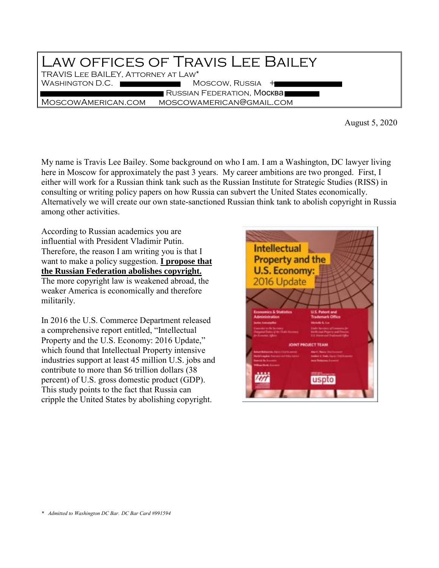## Law offices of Travis Lee Bailey TRAVIS Lee BAILEY, Attorney at Law\* WASHINGTON D.C. RUSSIAN FEDERATION, MOCKBA MoscowAmerican.com moscowamerican@gmail.com

August 5, 2020

My name is Travis Lee Bailey. Some background on who I am. I am a Washington, DC lawyer living here in Moscow for approximately the past 3 years. My career ambitions are two pronged. First, I either will work for a Russian think tank such as the Russian Institute for Strategic Studies (RISS) in consulting or writing policy papers on how Russia can subvert the United States economically. Alternatively we will create our own state-sanctioned Russian think tank to abolish copyright in Russia among other activities.

According to Russian academics you are influential with President Vladimir Putin. Therefore, the reason I am writing you is that I want to make a policy suggestion. **I propose that the Russian Federation abolishes copyright.** The more copyright law is weakened abroad, the weaker America is economically and therefore militarily.

In 2016 the U.S. Commerce Department released a comprehensive report entitled, "Intellectual Property and the U.S. Economy: 2016 Update," which found that Intellectual Property intensive industries support at least 45 million U.S. jobs and contribute to more than \$6 trillion dollars (38 percent) of U.S. gross domestic product (GDP). This study points to the fact that Russia can cripple the United States by abolishing copyright.